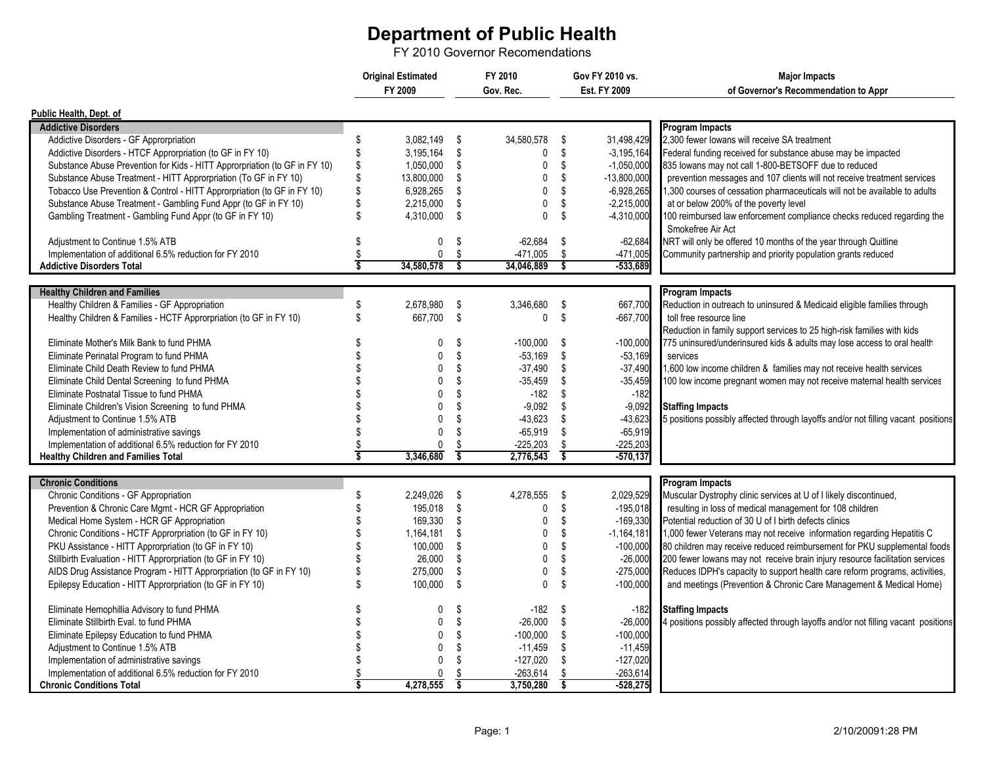## **Department of Public Health**

FY 2010 Governor Recomendations

|                                                                            | <b>Original Estimated</b> |              |                         | FY 2010      |                         | Gov FY 2010 vs. | <b>Major Impacts</b>                                                              |
|----------------------------------------------------------------------------|---------------------------|--------------|-------------------------|--------------|-------------------------|-----------------|-----------------------------------------------------------------------------------|
|                                                                            |                           | FY 2009      |                         | Gov. Rec.    |                         | Est. FY 2009    | of Governor's Recommendation to Appr                                              |
| Public Health, Dept. of                                                    |                           |              |                         |              |                         |                 |                                                                                   |
| <b>Addictive Disorders</b>                                                 |                           |              |                         |              |                         |                 | <b>Program Impacts</b>                                                            |
| Addictive Disorders - GF Approrpriation                                    | \$                        | 3,082,149 \$ |                         | 34,580,578   | \$                      | 31,498,429      | 2,300 fewer lowans will receive SA treatment                                      |
| Addictive Disorders - HTCF Approrpriation (to GF in FY 10)                 | \$                        | 3,195,164 \$ |                         | 0            | \$                      | $-3, 195, 164$  | Federal funding received for substance abuse may be impacted                      |
| Substance Abuse Prevention for Kids - HITT Approrpriation (to GF in FY 10) | \$                        | 1,050,000    | - \$                    | $\mathbf 0$  | \$                      | $-1,050,000$    | 835 lowans may not call 1-800-BETSOFF due to reduced                              |
| Substance Abuse Treatment - HITT Approrpriation (To GF in FY 10)           | \$                        | 13,800,000   | \$                      | $\mathbf 0$  | \$                      | $-13,800,000$   | prevention messages and 107 clients will not receive treatment services           |
| Tobacco Use Prevention & Control - HITT Approrpriation (to GF in FY 10)    | \$                        | 6,928,265    | -\$                     | $\mathbf 0$  | \$                      | $-6,928,265$    | 1,300 courses of cessation pharmaceuticals will not be available to adults        |
| Substance Abuse Treatment - Gambling Fund Appr (to GF in FY 10)            | \$                        | 2,215,000    | -\$                     | $\mathbf 0$  | \$                      | $-2,215,000$    | at or below 200% of the poverty level                                             |
| Gambling Treatment - Gambling Fund Appr (to GF in FY 10)                   | \$                        | 4,310,000    | - \$                    | $\mathbf{0}$ | \$                      | $-4,310,000$    | 100 reimbursed law enforcement compliance checks reduced regarding the            |
|                                                                            |                           |              |                         |              |                         |                 | Smokefree Air Act                                                                 |
| Adjustment to Continue 1.5% ATB                                            | \$                        | $\mathbf{0}$ | \$                      | $-62,684$    | \$                      | $-62,684$       | NRT will only be offered 10 months of the year through Quitline                   |
| Implementation of additional 6.5% reduction for FY 2010                    | \$                        | $\mathbf{0}$ | \$                      | $-471,005$   | \$                      | $-471.005$      | Community partnership and priority population grants reduced                      |
| <b>Addictive Disorders Total</b>                                           | $\overline{\mathsf{s}}$   | 34,580,578   | \$                      | 34,046,889   | S,                      | -533,689        |                                                                                   |
|                                                                            |                           |              |                         |              |                         |                 |                                                                                   |
| <b>Healthy Children and Families</b>                                       |                           |              |                         |              |                         |                 | <b>Program Impacts</b>                                                            |
| Healthy Children & Families - GF Appropriation                             | \$                        | 2,678,980 \$ |                         | 3,346,680    | \$                      | 667,700         | Reduction in outreach to uninsured & Medicaid eligible families through           |
| Healthy Children & Families - HCTF Approrpriation (to GF in FY 10)         | \$                        | 667,700 \$   |                         | $\mathbf 0$  | \$                      | $-667,700$      | toll free resource line                                                           |
|                                                                            |                           |              |                         |              |                         |                 | Reduction in family support services to 25 high-risk families with kids           |
| Eliminate Mother's Milk Bank to fund PHMA                                  | \$                        | 0            | \$                      | $-100,000$   | \$                      | $-100,000$      | 775 uninsured/underinsured kids & adults may lose access to oral health           |
| Eliminate Perinatal Program to fund PHMA                                   | \$                        | $\mathbf{0}$ | \$                      | $-53.169$    | \$                      | $-53,169$       | services                                                                          |
| Eliminate Child Death Review to fund PHMA                                  | \$                        | $\mathbf{0}$ | \$                      | $-37,490$    | \$                      | $-37,490$       | 1,600 low income children & families may not receive health services              |
| Eliminate Child Dental Screening to fund PHMA                              | \$                        | 0            | \$                      | $-35,459$    | \$                      | $-35,459$       | 100 low income pregnant women may not receive maternal health services            |
| Eliminate Postnatal Tissue to fund PHMA                                    |                           | $\Omega$     | \$                      | $-182$       | \$                      | $-182$          |                                                                                   |
| Eliminate Children's Vision Screening to fund PHMA                         |                           | $\Omega$     | \$                      | $-9.092$     | \$                      | $-9,092$        | <b>Staffing Impacts</b>                                                           |
| Adjustment to Continue 1.5% ATB                                            |                           | $\Omega$     | \$                      | $-43.623$    | \$                      | $-43,623$       | 5 positions possibly affected through layoffs and/or not filling vacant positions |
| Implementation of administrative savings                                   | \$                        | $\mathbf{0}$ | \$                      | $-65,919$    | \$                      | $-65,919$       |                                                                                   |
| Implementation of additional 6.5% reduction for FY 2010                    | \$                        | 0            | \$                      | $-225,203$   | \$                      | $-225,203$      |                                                                                   |
| <b>Healthy Children and Families Total</b>                                 | $\overline{\mathbf{s}}$   | 3,346,680    | $\overline{\mathsf{s}}$ | 2,776,543    | $\overline{\mathbf{s}}$ | $-570, 137$     |                                                                                   |
| <b>Chronic Conditions</b>                                                  |                           |              |                         |              |                         |                 | <b>Program Impacts</b>                                                            |
| Chronic Conditions - GF Appropriation                                      | \$                        | 2.249.026    | - \$                    | 4.278.555    | - \$                    | 2,029,529       | Muscular Dystrophy clinic services at U of I likely discontinued,                 |
| Prevention & Chronic Care Mgmt - HCR GF Appropriation                      | \$                        | 195,018 \$   |                         | $\mathbf 0$  | \$                      | $-195,018$      | resulting in loss of medical management for 108 children                          |
| Medical Home System - HCR GF Appropriation                                 | \$                        | 169,330      | \$                      | $\mathbf 0$  | \$                      | $-169,330$      | Potential reduction of 30 U of I birth defects clinics                            |
| Chronic Conditions - HCTF Approrpriation (to GF in FY 10)                  | \$                        | 1,164,181    | - \$                    | $\mathbf 0$  | \$                      | $-1,164,181$    | 1,000 fewer Veterans may not receive information regarding Hepatitis C            |
| PKU Assistance - HITT Approrpriation (to GF in FY 10)                      | \$                        | 100,000      | \$                      | $\mathbf 0$  | \$                      | $-100,000$      | 80 children may receive reduced reimbursement for PKU supplemental foods          |
| Stillbirth Evaluation - HITT Approrpriation (to GF in FY 10)               | \$                        | 26,000       | - \$                    | $\mathbf 0$  | \$                      | $-26,000$       | 200 fewer lowans may not receive brain injury resource facilitation services      |
| AIDS Drug Assistance Program - HITT Approrpriation (to GF in FY 10)        | \$                        | 275,000      | \$                      | $\mathbf 0$  | \$                      | $-275,000$      | Reduces IDPH's capacity to support health care reform programs, activities,       |
| Epilepsy Education - HITT Approrpriation (to GF in FY 10)                  | \$                        | 100,000      | - \$                    | $\Omega$     | S.                      | $-100,000$      | and meetings (Prevention & Chronic Care Management & Medical Home)                |
|                                                                            |                           |              |                         |              |                         |                 |                                                                                   |
| Eliminate Hemophillia Advisory to fund PHMA                                | \$                        | 0            | \$                      | $-182$       | \$                      | $-182$          | <b>Staffing Impacts</b>                                                           |
| Eliminate Stillbirth Eval. to fund PHMA                                    | \$                        | 0            | \$                      | $-26,000$    | \$                      | $-26,000$       | 4 positions possibly affected through layoffs and/or not filling vacant positions |
| Eliminate Epilepsy Education to fund PHMA                                  | \$                        | 0            | \$                      | $-100,000$   | \$                      | $-100,000$      |                                                                                   |
| Adjustment to Continue 1.5% ATB                                            | Ŝ.                        | $\mathbf{0}$ | \$                      | $-11.459$    | \$                      | $-11,459$       |                                                                                   |
| Implementation of administrative savings                                   | Ŝ.                        | $\mathbf{0}$ | \$                      | $-127.020$   | \$                      | $-127,020$      |                                                                                   |
| Implementation of additional 6.5% reduction for FY 2010                    | \$                        | 0            | \$                      | $-263,614$   | \$                      | $-263,614$      |                                                                                   |
| <b>Chronic Conditions Total</b>                                            | $\overline{\mathsf{s}}$   | 4,278,555    | $\overline{\mathsf{s}}$ | 3,750,280    | $\overline{\mathbf{s}}$ | $-528,275$      |                                                                                   |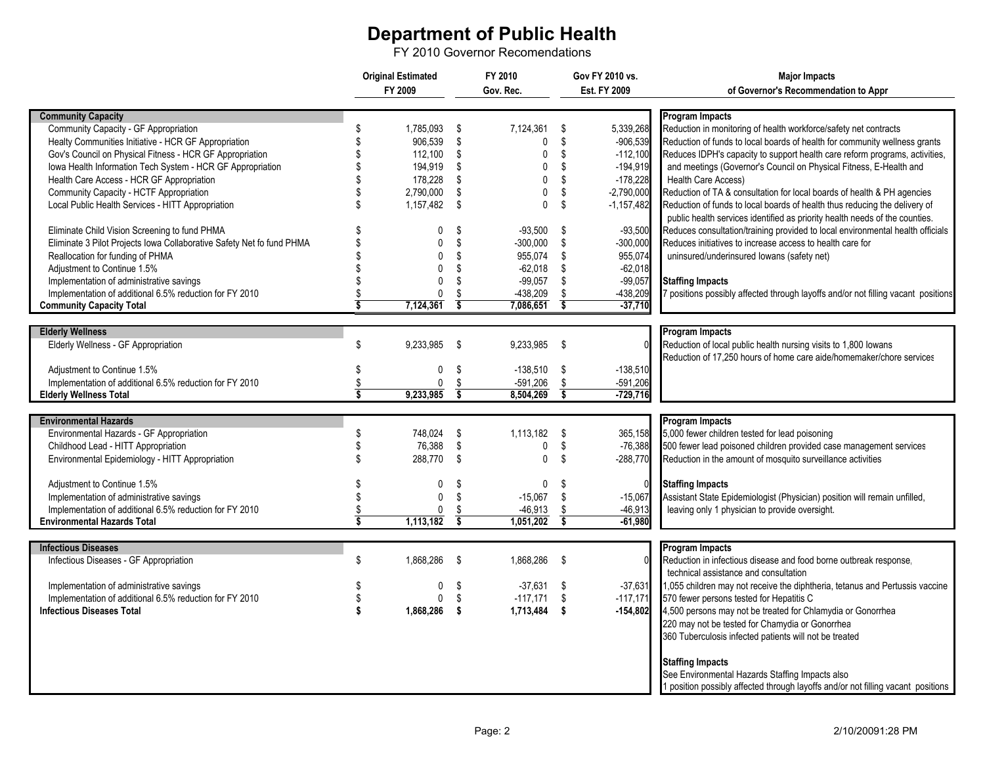## **Department of Public Health**

FY 2010 Governor Recomendations

|                                                                       | <b>Original Estimated</b> |              | FY 2010                       |              | Gov FY 2010 vs.               |                | <b>Major Impacts</b>                                                              |
|-----------------------------------------------------------------------|---------------------------|--------------|-------------------------------|--------------|-------------------------------|----------------|-----------------------------------------------------------------------------------|
|                                                                       | FY 2009                   |              | Gov. Rec.                     |              | Est. FY 2009                  |                | of Governor's Recommendation to Appr                                              |
|                                                                       |                           |              |                               |              |                               |                |                                                                                   |
| <b>Community Capacity</b>                                             |                           |              |                               |              |                               |                | <b>Program Impacts</b>                                                            |
| Community Capacity - GF Appropriation                                 | \$                        | 1,785,093    | - \$                          | 7,124,361    | -\$                           | 5,339,268      | Reduction in monitoring of health workforce/safety net contracts                  |
| Healty Communities Initiative - HCR GF Appropriation                  | $\mathfrak{L}$            | 906,539 \$   |                               | $\mathbf{0}$ | \$                            | $-906,539$     | Reduction of funds to local boards of health for community wellness grants        |
| Gov's Council on Physical Fitness - HCR GF Appropriation              |                           | $112,100$ \$ |                               | $\mathbf 0$  | \$                            | $-112,100$     | Reduces IDPH's capacity to support health care reform programs, activities,       |
| Iowa Health Information Tech System - HCR GF Appropriation            |                           | 194,919      | \$                            | $\mathbf{0}$ | \$                            | $-194,919$     | and meetings (Governor's Council on Physical Fitness, E-Health and                |
| Health Care Access - HCR GF Appropriation                             |                           | 178,228      | \$                            | $\mathbf 0$  | \$                            | $-178,228$     | <b>Health Care Access)</b>                                                        |
| Community Capacity - HCTF Appropriation                               | \$                        | 2,790,000    | \$                            | $\Omega$     | \$                            | $-2,790,000$   | Reduction of TA & consultation for local boards of health & PH agencies           |
| Local Public Health Services - HITT Appropriation                     | \$                        | 1,157,482 \$ |                               | $\mathbf{0}$ | -\$                           | $-1, 157, 482$ | Reduction of funds to local boards of health thus reducing the delivery of        |
|                                                                       |                           |              |                               |              |                               |                | public health services identified as priority health needs of the counties.       |
| Eliminate Child Vision Screening to fund PHMA                         | S                         | 0            | \$                            | $-93,500$    | \$                            | $-93,500$      | Reduces consultation/training provided to local environmental health officials    |
| Eliminate 3 Pilot Projects Iowa Collaborative Safety Net fo fund PHMA | \$                        | $\Omega$     | \$                            | $-300,000$   | \$                            | $-300,000$     | Reduces initiatives to increase access to health care for                         |
| Reallocation for funding of PHMA                                      | \$                        | $\mathbf{0}$ | \$                            | 955,074      | \$                            | 955,074        | uninsured/underinsured lowans (safety net)                                        |
| Adjustment to Continue 1.5%                                           |                           | 0            | \$                            | $-62,018$    | \$                            | $-62,018$      |                                                                                   |
|                                                                       |                           |              | \$                            |              |                               |                |                                                                                   |
| Implementation of administrative savings                              | \$.                       | $\mathbf{0}$ |                               | $-99,057$    | -\$                           | $-99,057$      | <b>Staffing Impacts</b>                                                           |
| Implementation of additional 6.5% reduction for FY 2010               | \$                        | 0            | \$<br>$\overline{\mathbf{s}}$ | -438,209     | \$<br>$\overline{\mathbf{s}}$ | -438,209       | 7 positions possibly affected through layoffs and/or not filling vacant positions |
| <b>Community Capacity Total</b>                                       |                           | 7,124,361    |                               | 7,086,651    |                               | $-37,710$      |                                                                                   |
|                                                                       |                           |              |                               |              |                               |                |                                                                                   |
| <b>Elderly Wellness</b>                                               |                           |              |                               |              |                               |                | <b>Program Impacts</b>                                                            |
| Elderly Wellness - GF Appropriation                                   | \$                        | 9,233,985 \$ |                               | 9,233,985    | \$                            |                | Reduction of local public health nursing visits to 1,800 lowans                   |
|                                                                       |                           |              |                               |              |                               |                | Reduction of 17,250 hours of home care aide/homemaker/chore services              |
| Adjustment to Continue 1.5%                                           | \$                        | 0            | \$                            | $-138,510$   | \$                            | $-138,510$     |                                                                                   |
| Implementation of additional 6.5% reduction for FY 2010               | \$                        | $\mathbf{0}$ | \$                            | $-591,206$   | \$                            | $-591,206$     |                                                                                   |
| <b>Elderly Wellness Total</b>                                         | Ś                         | 9,233,985    | $\overline{\mathsf{s}}$       | 8,504,269    | $\overline{\mathsf{s}}$       | $-729,716$     |                                                                                   |
|                                                                       |                           |              |                               |              |                               |                |                                                                                   |
| <b>Environmental Hazards</b>                                          |                           |              |                               |              |                               |                | <b>Program Impacts</b>                                                            |
| Environmental Hazards - GF Appropriation                              | \$                        | 748,024 \$   |                               | 1,113,182    | -\$                           | 365,158        | 5,000 fewer children tested for lead poisoning                                    |
| Childhood Lead - HITT Appropriation                                   | \$                        | 76,388       | \$                            | 0            | \$                            | $-76,388$      | 500 fewer lead poisoned children provided case management services                |
| Environmental Epidemiology - HITT Appropriation                       | $\mathfrak{S}$            | 288.770      | \$                            | $\mathbf{0}$ | -\$                           | $-288,770$     | Reduction in the amount of mosquito surveillance activities                       |
|                                                                       |                           |              |                               |              |                               |                |                                                                                   |
| Adjustment to Continue 1.5%                                           | \$                        | 0            | \$                            | $\mathbf 0$  | \$                            |                | <b>Staffing Impacts</b>                                                           |
| Implementation of administrative savings                              | \$                        | 0            | \$                            | $-15,067$    | \$                            | $-15,067$      | Assistant State Epidemiologist (Physician) position will remain unfilled,         |
| Implementation of additional 6.5% reduction for FY 2010               | \$                        | 0            | $\frac{\$}{\$}$               | $-46,913$    | \$                            | $-46,913$      | leaving only 1 physician to provide oversight.                                    |
| <b>Environmental Hazards Total</b>                                    | Ŝ                         | 1,113,182    |                               | 1,051,202    | $\overline{\mathsf{s}}$       | $-61,980$      |                                                                                   |
|                                                                       |                           |              |                               |              |                               |                |                                                                                   |
| <b>Infectious Diseases</b>                                            |                           |              |                               |              |                               |                | <b>Program Impacts</b>                                                            |
| Infectious Diseases - GF Appropriation                                | \$                        | 1,868,286 \$ |                               | 1,868,286    | -\$                           |                | Reduction in infectious disease and food borne outbreak response.                 |
|                                                                       |                           |              |                               |              |                               |                | technical assistance and consultation                                             |
| Implementation of administrative savings                              | \$.                       | 0            | -\$                           | $-37,631$ \$ |                               | $-37,631$      | 1,055 children may not receive the diphtheria, tetanus and Pertussis vaccine      |
| Implementation of additional 6.5% reduction for FY 2010               | \$                        | 0            | - \$                          | $-117.171$   | \$                            | $-117,171$     | 570 fewer persons tested for Hepatitis C                                          |
| <b>Infectious Diseases Total</b>                                      | S.                        | 1,868,286 \$ |                               | 1,713,484 \$ |                               | $-154,802$     | 4,500 persons may not be treated for Chlamydia or Gonorrhea                       |
|                                                                       |                           |              |                               |              |                               |                | 220 may not be tested for Chamydia or Gonorrhea                                   |
|                                                                       |                           |              |                               |              |                               |                | 360 Tuberculosis infected patients will not be treated                            |
|                                                                       |                           |              |                               |              |                               |                |                                                                                   |
|                                                                       |                           |              |                               |              |                               |                | <b>Staffing Impacts</b>                                                           |
|                                                                       |                           |              |                               |              |                               |                | See Environmental Hazards Staffing Impacts also                                   |
|                                                                       |                           |              |                               |              |                               |                | 1 position possibly affected through layoffs and/or not filling vacant positions  |